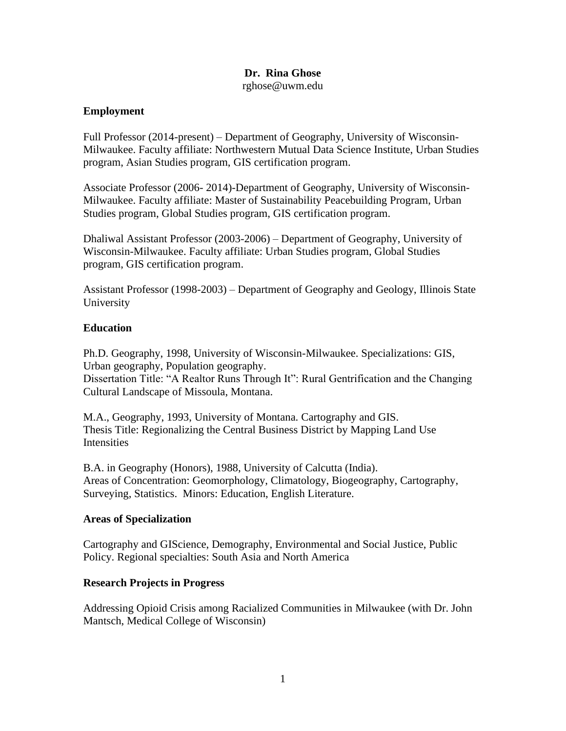#### **Dr. Rina Ghose** rghose@uwm.edu

#### **Employment**

Full Professor (2014-present) – Department of Geography, University of Wisconsin-Milwaukee. Faculty affiliate: Northwestern Mutual Data Science Institute, Urban Studies program, Asian Studies program, GIS certification program.

Associate Professor (2006- 2014)-Department of Geography, University of Wisconsin-Milwaukee. Faculty affiliate: Master of Sustainability Peacebuilding Program, Urban Studies program, Global Studies program, GIS certification program.

Dhaliwal Assistant Professor (2003-2006) – Department of Geography, University of Wisconsin-Milwaukee. Faculty affiliate: Urban Studies program, Global Studies program, GIS certification program.

Assistant Professor (1998-2003) – Department of Geography and Geology, Illinois State University

#### **Education**

Ph.D. Geography, 1998, University of Wisconsin-Milwaukee. Specializations: GIS, Urban geography, Population geography. Dissertation Title: "A Realtor Runs Through It": Rural Gentrification and the Changing

Cultural Landscape of Missoula, Montana.

M.A., Geography, 1993, University of Montana. Cartography and GIS. Thesis Title: Regionalizing the Central Business District by Mapping Land Use Intensities

B.A. in Geography (Honors), 1988, University of Calcutta (India). Areas of Concentration: Geomorphology, Climatology, Biogeography, Cartography, Surveying, Statistics. Minors: Education, English Literature.

#### **Areas of Specialization**

Cartography and GIScience, Demography, Environmental and Social Justice, Public Policy. Regional specialties: South Asia and North America

#### **Research Projects in Progress**

Addressing Opioid Crisis among Racialized Communities in Milwaukee (with Dr. John Mantsch, Medical College of Wisconsin)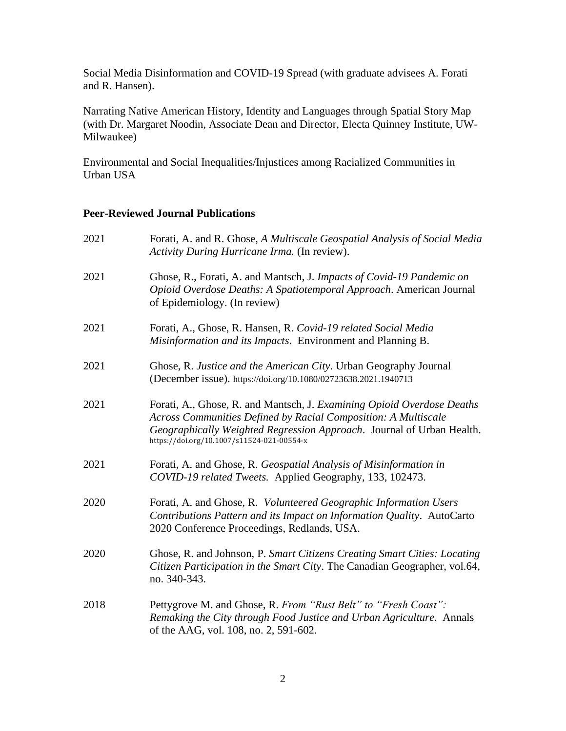Social Media Disinformation and COVID-19 Spread (with graduate advisees A. Forati and R. Hansen).

Narrating Native American History, Identity and Languages through Spatial Story Map (with Dr. Margaret Noodin, Associate Dean and Director, Electa Quinney Institute, UW-Milwaukee)

Environmental and Social Inequalities/Injustices among Racialized Communities in Urban USA

#### **Peer-Reviewed Journal Publications**

| 2021 | Forati, A. and R. Ghose, A Multiscale Geospatial Analysis of Social Media<br>Activity During Hurricane Irma. (In review).                                                                                                                                       |
|------|-----------------------------------------------------------------------------------------------------------------------------------------------------------------------------------------------------------------------------------------------------------------|
| 2021 | Ghose, R., Forati, A. and Mantsch, J. Impacts of Covid-19 Pandemic on<br>Opioid Overdose Deaths: A Spatiotemporal Approach. American Journal<br>of Epidemiology. (In review)                                                                                    |
| 2021 | Forati, A., Ghose, R. Hansen, R. Covid-19 related Social Media<br>Misinformation and its Impacts. Environment and Planning B.                                                                                                                                   |
| 2021 | Ghose, R. Justice and the American City. Urban Geography Journal<br>(December issue). https://doi.org/10.1080/02723638.2021.1940713                                                                                                                             |
| 2021 | Forati, A., Ghose, R. and Mantsch, J. Examining Opioid Overdose Deaths<br>Across Communities Defined by Racial Composition: A Multiscale<br>Geographically Weighted Regression Approach. Journal of Urban Health.<br>https://doi.org/10.1007/s11524-021-00554-x |
| 2021 | Forati, A. and Ghose, R. Geospatial Analysis of Misinformation in<br>COVID-19 related Tweets. Applied Geography, 133, 102473.                                                                                                                                   |
| 2020 | Forati, A. and Ghose, R. Volunteered Geographic Information Users<br>Contributions Pattern and its Impact on Information Quality. AutoCarto<br>2020 Conference Proceedings, Redlands, USA.                                                                      |
| 2020 | Ghose, R. and Johnson, P. Smart Citizens Creating Smart Cities: Locating<br>Citizen Participation in the Smart City. The Canadian Geographer, vol.64,<br>no. 340-343.                                                                                           |
| 2018 | Pettygrove M. and Ghose, R. From "Rust Belt" to "Fresh Coast":<br>Remaking the City through Food Justice and Urban Agriculture. Annals<br>of the AAG, vol. 108, no. 2, 591-602.                                                                                 |
|      |                                                                                                                                                                                                                                                                 |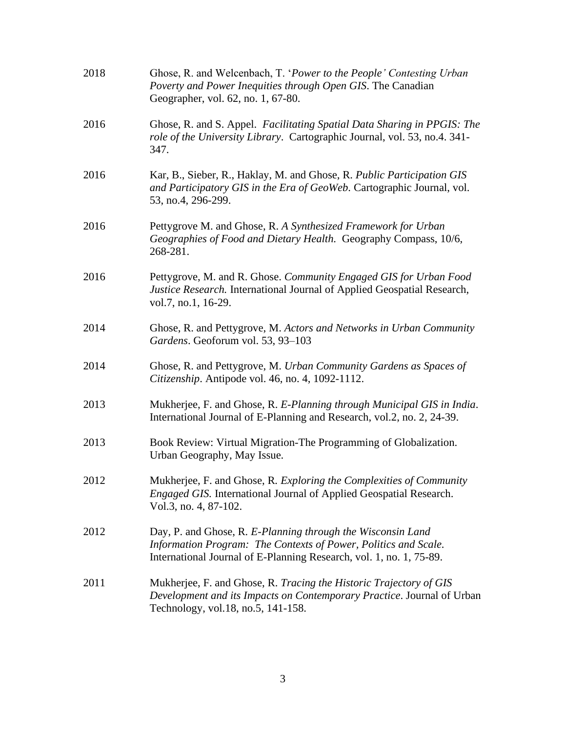| 2018 | Ghose, R. and Welcenbach, T. 'Power to the People' Contesting Urban<br>Poverty and Power Inequities through Open GIS. The Canadian<br>Geographer, vol. 62, no. 1, 67-80.                              |
|------|-------------------------------------------------------------------------------------------------------------------------------------------------------------------------------------------------------|
| 2016 | Ghose, R. and S. Appel. Facilitating Spatial Data Sharing in PPGIS: The<br>role of the University Library. Cartographic Journal, vol. 53, no.4. 341-<br>347.                                          |
| 2016 | Kar, B., Sieber, R., Haklay, M. and Ghose, R. Public Participation GIS<br>and Participatory GIS in the Era of GeoWeb. Cartographic Journal, vol.<br>53, no.4, 296-299.                                |
| 2016 | Pettygrove M. and Ghose, R. A Synthesized Framework for Urban<br>Geographies of Food and Dietary Health. Geography Compass, 10/6,<br>268-281.                                                         |
| 2016 | Pettygrove, M. and R. Ghose. Community Engaged GIS for Urban Food<br>Justice Research. International Journal of Applied Geospatial Research,<br>vol.7, no.1, 16-29.                                   |
| 2014 | Ghose, R. and Pettygrove, M. Actors and Networks in Urban Community<br>Gardens. Geoforum vol. 53, 93-103                                                                                              |
| 2014 | Ghose, R. and Pettygrove, M. Urban Community Gardens as Spaces of<br>Citizenship. Antipode vol. 46, no. 4, 1092-1112.                                                                                 |
| 2013 | Mukherjee, F. and Ghose, R. E-Planning through Municipal GIS in India.<br>International Journal of E-Planning and Research, vol.2, no. 2, 24-39.                                                      |
| 2013 | Book Review: Virtual Migration-The Programming of Globalization.<br>Urban Geography, May Issue.                                                                                                       |
| 2012 | Mukherjee, F. and Ghose, R. Exploring the Complexities of Community<br><i>Engaged GIS.</i> International Journal of Applied Geospatial Research.<br>Vol.3, no. 4, 87-102.                             |
| 2012 | Day, P. and Ghose, R. E-Planning through the Wisconsin Land<br>Information Program: The Contexts of Power, Politics and Scale.<br>International Journal of E-Planning Research, vol. 1, no. 1, 75-89. |
| 2011 | Mukherjee, F. and Ghose, R. Tracing the Historic Trajectory of GIS<br>Development and its Impacts on Contemporary Practice. Journal of Urban<br>Technology, vol.18, no.5, 141-158.                    |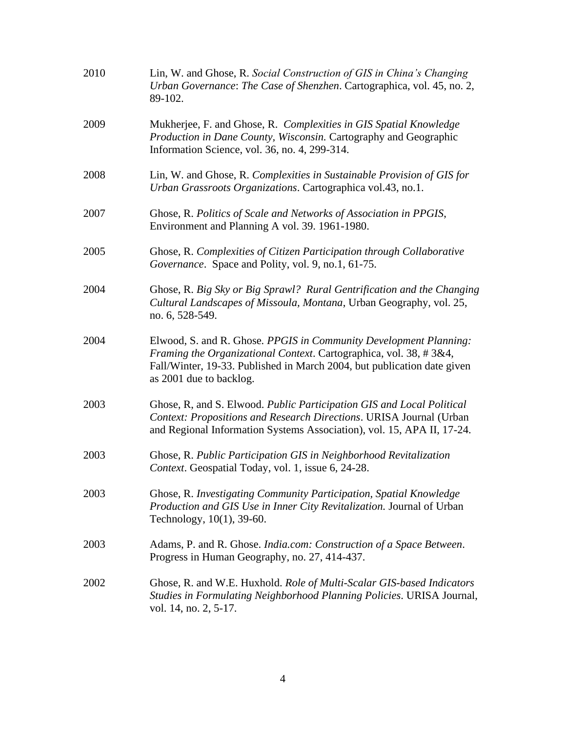| 2010 | Lin, W. and Ghose, R. Social Construction of GIS in China's Changing<br>Urban Governance: The Case of Shenzhen. Cartographica, vol. 45, no. 2,<br>89-102.                                                                                    |
|------|----------------------------------------------------------------------------------------------------------------------------------------------------------------------------------------------------------------------------------------------|
| 2009 | Mukherjee, F. and Ghose, R. Complexities in GIS Spatial Knowledge<br>Production in Dane County, Wisconsin. Cartography and Geographic<br>Information Science, vol. 36, no. 4, 299-314.                                                       |
| 2008 | Lin, W. and Ghose, R. Complexities in Sustainable Provision of GIS for<br>Urban Grassroots Organizations. Cartographica vol.43, no.1.                                                                                                        |
| 2007 | Ghose, R. Politics of Scale and Networks of Association in PPGIS,<br>Environment and Planning A vol. 39. 1961-1980.                                                                                                                          |
| 2005 | Ghose, R. Complexities of Citizen Participation through Collaborative<br>Governance. Space and Polity, vol. 9, no.1, 61-75.                                                                                                                  |
| 2004 | Ghose, R. Big Sky or Big Sprawl? Rural Gentrification and the Changing<br>Cultural Landscapes of Missoula, Montana, Urban Geography, vol. 25,<br>no. 6, 528-549.                                                                             |
| 2004 | Elwood, S. and R. Ghose. PPGIS in Community Development Planning:<br>Framing the Organizational Context. Cartographica, vol. 38, #3&4,<br>Fall/Winter, 19-33. Published in March 2004, but publication date given<br>as 2001 due to backlog. |
| 2003 | Ghose, R, and S. Elwood. Public Participation GIS and Local Political<br>Context: Propositions and Research Directions. URISA Journal (Urban<br>and Regional Information Systems Association), vol. 15, APA II, 17-24.                       |
| 2003 | Ghose, R. Public Participation GIS in Neighborhood Revitalization<br>Context. Geospatial Today, vol. 1, issue 6, 24-28.                                                                                                                      |
| 2003 | Ghose, R. Investigating Community Participation, Spatial Knowledge<br>Production and GIS Use in Inner City Revitalization. Journal of Urban<br>Technology, 10(1), 39-60.                                                                     |
| 2003 | Adams, P. and R. Ghose. India.com: Construction of a Space Between.<br>Progress in Human Geography, no. 27, 414-437.                                                                                                                         |
| 2002 | Ghose, R. and W.E. Huxhold. Role of Multi-Scalar GIS-based Indicators<br>Studies in Formulating Neighborhood Planning Policies. URISA Journal,<br>vol. 14, no. 2, 5-17.                                                                      |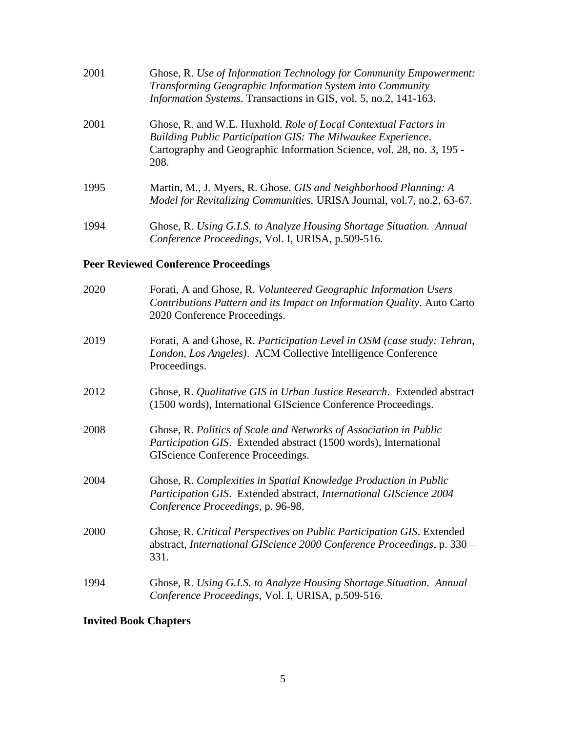| 2001 | Ghose, R. Use of Information Technology for Community Empowerment:<br>Transforming Geographic Information System into Community<br>Information Systems. Transactions in GIS, vol. 5, no.2, 141-163.              |
|------|------------------------------------------------------------------------------------------------------------------------------------------------------------------------------------------------------------------|
| 2001 | Ghose, R. and W.E. Huxhold. Role of Local Contextual Factors in<br>Building Public Participation GIS: The Milwaukee Experience.<br>Cartography and Geographic Information Science, vol. 28, no. 3, 195 -<br>208. |
| 1995 | Martin, M., J. Myers, R. Ghose. GIS and Neighborhood Planning: A<br>Model for Revitalizing Communities. URISA Journal, vol.7, no.2, 63-67.                                                                       |
| 1994 | Ghose, R. Using G.I.S. to Analyze Housing Shortage Situation. Annual<br>Conference Proceedings, Vol. I, URISA, p.509-516.                                                                                        |

## **Peer Reviewed Conference Proceedings**

| 2019<br>London, Los Angeles). ACM Collective Intelligence Conference<br>Proceedings.<br>2012<br>(1500 words), International GIScience Conference Proceedings.<br>2008<br>Ghose, R. Politics of Scale and Networks of Association in Public<br>Participation GIS. Extended abstract (1500 words), International<br>GIScience Conference Proceedings.<br>2004<br>Ghose, R. Complexities in Spatial Knowledge Production in Public<br>Participation GIS. Extended abstract, International GIScience 2004<br>Conference Proceedings, p. 96-98.<br>2000<br>Ghose, R. Critical Perspectives on Public Participation GIS. Extended<br>331.<br>Ghose, R. Using G.I.S. to Analyze Housing Shortage Situation. Annual<br>1994<br>Conference Proceedings, Vol. I, URISA, p.509-516. | 2020 | Forati, A and Ghose, R. Volunteered Geographic Information Users<br>Contributions Pattern and its Impact on Information Quality. Auto Carto<br>2020 Conference Proceedings. |
|--------------------------------------------------------------------------------------------------------------------------------------------------------------------------------------------------------------------------------------------------------------------------------------------------------------------------------------------------------------------------------------------------------------------------------------------------------------------------------------------------------------------------------------------------------------------------------------------------------------------------------------------------------------------------------------------------------------------------------------------------------------------------|------|-----------------------------------------------------------------------------------------------------------------------------------------------------------------------------|
|                                                                                                                                                                                                                                                                                                                                                                                                                                                                                                                                                                                                                                                                                                                                                                          |      | Forati, A and Ghose, R. Participation Level in OSM (case study: Tehran,                                                                                                     |
|                                                                                                                                                                                                                                                                                                                                                                                                                                                                                                                                                                                                                                                                                                                                                                          |      | Ghose, R. Qualitative GIS in Urban Justice Research. Extended abstract                                                                                                      |
|                                                                                                                                                                                                                                                                                                                                                                                                                                                                                                                                                                                                                                                                                                                                                                          |      |                                                                                                                                                                             |
|                                                                                                                                                                                                                                                                                                                                                                                                                                                                                                                                                                                                                                                                                                                                                                          |      |                                                                                                                                                                             |
|                                                                                                                                                                                                                                                                                                                                                                                                                                                                                                                                                                                                                                                                                                                                                                          |      | abstract, International GIScience 2000 Conference Proceedings, p. 330 -                                                                                                     |
|                                                                                                                                                                                                                                                                                                                                                                                                                                                                                                                                                                                                                                                                                                                                                                          |      |                                                                                                                                                                             |

## **Invited Book Chapters**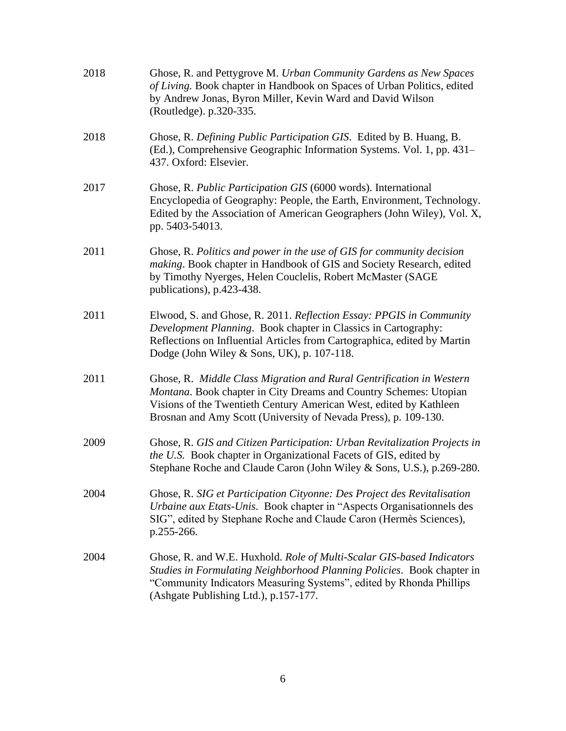| 2018 | Ghose, R. and Pettygrove M. Urban Community Gardens as New Spaces<br>of Living. Book chapter in Handbook on Spaces of Urban Politics, edited<br>by Andrew Jonas, Byron Miller, Kevin Ward and David Wilson<br>(Routledge). p.320-335.                                              |
|------|------------------------------------------------------------------------------------------------------------------------------------------------------------------------------------------------------------------------------------------------------------------------------------|
| 2018 | Ghose, R. Defining Public Participation GIS. Edited by B. Huang, B.<br>(Ed.), Comprehensive Geographic Information Systems. Vol. 1, pp. 431–<br>437. Oxford: Elsevier.                                                                                                             |
| 2017 | Ghose, R. Public Participation GIS (6000 words). International<br>Encyclopedia of Geography: People, the Earth, Environment, Technology.<br>Edited by the Association of American Geographers (John Wiley), Vol. X,<br>pp. 5403-54013.                                             |
| 2011 | Ghose, R. Politics and power in the use of GIS for community decision<br>making. Book chapter in Handbook of GIS and Society Research, edited<br>by Timothy Nyerges, Helen Couclelis, Robert McMaster (SAGE<br>publications), p.423-438.                                           |
| 2011 | Elwood, S. and Ghose, R. 2011. Reflection Essay: PPGIS in Community<br>Development Planning. Book chapter in Classics in Cartography:<br>Reflections on Influential Articles from Cartographica, edited by Martin<br>Dodge (John Wiley & Sons, UK), p. $107-118$ .                 |
| 2011 | Ghose, R. Middle Class Migration and Rural Gentrification in Western<br>Montana. Book chapter in City Dreams and Country Schemes: Utopian<br>Visions of the Twentieth Century American West, edited by Kathleen<br>Brosnan and Amy Scott (University of Nevada Press), p. 109-130. |
| 2009 | Ghose, R. GIS and Citizen Participation: Urban Revitalization Projects in<br>the U.S. Book chapter in Organizational Facets of GIS, edited by<br>Stephane Roche and Claude Caron (John Wiley & Sons, U.S.), p.269-280.                                                             |
| 2004 | Ghose, R. SIG et Participation Cityonne: Des Project des Revitalisation<br>Urbaine aux Etats-Unis. Book chapter in "Aspects Organisationnels des<br>SIG", edited by Stephane Roche and Claude Caron (Hermès Sciences),<br>p.255-266.                                               |
| 2004 | Ghose, R. and W.E. Huxhold. Role of Multi-Scalar GIS-based Indicators<br>Studies in Formulating Neighborhood Planning Policies. Book chapter in<br>"Community Indicators Measuring Systems", edited by Rhonda Phillips<br>(Ashgate Publishing Ltd.), p.157-177.                    |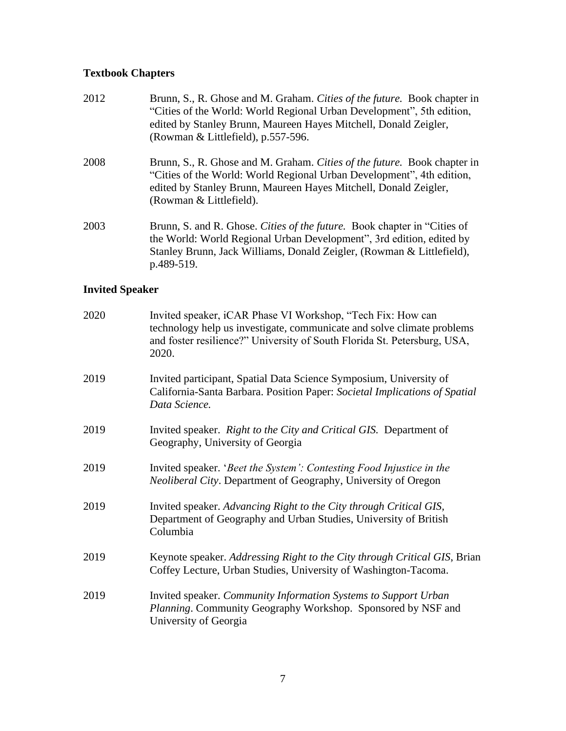## **Textbook Chapters**

| 2012 | Brunn, S., R. Ghose and M. Graham. Cities of the future. Book chapter in<br>"Cities of the World: World Regional Urban Development", 5th edition,<br>edited by Stanley Brunn, Maureen Hayes Mitchell, Donald Zeigler,<br>(Rowman & Littlefield), p.557-596. |
|------|-------------------------------------------------------------------------------------------------------------------------------------------------------------------------------------------------------------------------------------------------------------|
| 2008 | Brunn, S., R. Ghose and M. Graham. Cities of the future. Book chapter in<br>"Cities of the World: World Regional Urban Development", 4th edition,<br>edited by Stanley Brunn, Maureen Hayes Mitchell, Donald Zeigler,<br>(Rowman & Littlefield).            |
| 2003 | Brunn, S. and R. Ghose. Cities of the future. Book chapter in "Cities of<br>the World: World Regional Urban Development", 3rd edition, edited by<br>Stanley Brunn, Jack Williams, Donald Zeigler, (Rowman & Littlefield),                                   |

## **Invited Speaker**

p.489-519.

| 2020 | Invited speaker, iCAR Phase VI Workshop, "Tech Fix: How can<br>technology help us investigate, communicate and solve climate problems<br>and foster resilience?" University of South Florida St. Petersburg, USA,<br>2020. |
|------|----------------------------------------------------------------------------------------------------------------------------------------------------------------------------------------------------------------------------|
| 2019 | Invited participant, Spatial Data Science Symposium, University of<br>California-Santa Barbara. Position Paper: Societal Implications of Spatial<br>Data Science.                                                          |
| 2019 | Invited speaker. Right to the City and Critical GIS. Department of<br>Geography, University of Georgia                                                                                                                     |
| 2019 | Invited speaker. 'Beet the System': Contesting Food Injustice in the<br>Neoliberal City. Department of Geography, University of Oregon                                                                                     |
| 2019 | Invited speaker. Advancing Right to the City through Critical GIS,<br>Department of Geography and Urban Studies, University of British<br>Columbia                                                                         |
| 2019 | Keynote speaker. Addressing Right to the City through Critical GIS, Brian<br>Coffey Lecture, Urban Studies, University of Washington-Tacoma.                                                                               |
| 2019 | Invited speaker. Community Information Systems to Support Urban<br>Planning. Community Geography Workshop. Sponsored by NSF and<br>University of Georgia                                                                   |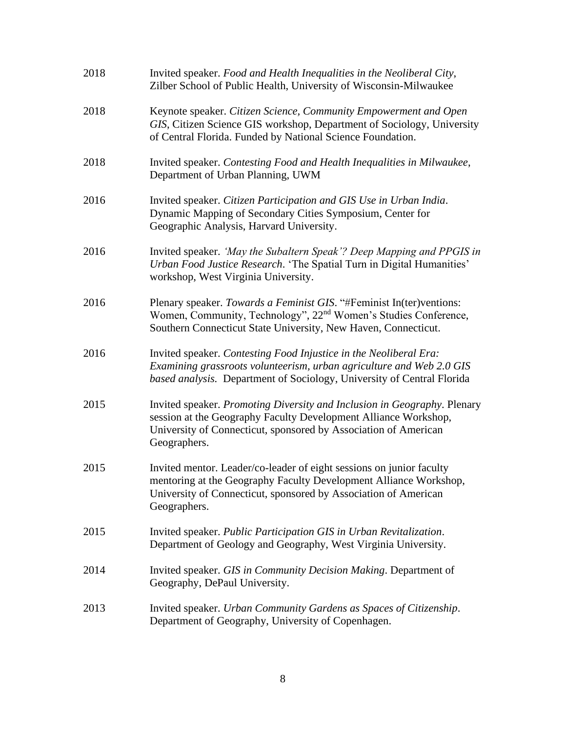| 2018 | Invited speaker. Food and Health Inequalities in the Neoliberal City,<br>Zilber School of Public Health, University of Wisconsin-Milwaukee                                                                                     |
|------|--------------------------------------------------------------------------------------------------------------------------------------------------------------------------------------------------------------------------------|
| 2018 | Keynote speaker. Citizen Science, Community Empowerment and Open<br>GIS, Citizen Science GIS workshop, Department of Sociology, University<br>of Central Florida. Funded by National Science Foundation.                       |
| 2018 | Invited speaker. Contesting Food and Health Inequalities in Milwaukee,<br>Department of Urban Planning, UWM                                                                                                                    |
| 2016 | Invited speaker. Citizen Participation and GIS Use in Urban India.<br>Dynamic Mapping of Secondary Cities Symposium, Center for<br>Geographic Analysis, Harvard University.                                                    |
| 2016 | Invited speaker. 'May the Subaltern Speak'? Deep Mapping and PPGIS in<br>Urban Food Justice Research. 'The Spatial Turn in Digital Humanities'<br>workshop, West Virginia University.                                          |
| 2016 | Plenary speaker. Towards a Feminist GIS. "#Feminist In(ter)ventions:<br>Women, Community, Technology", 22 <sup>nd</sup> Women's Studies Conference,<br>Southern Connecticut State University, New Haven, Connecticut.          |
| 2016 | Invited speaker. Contesting Food Injustice in the Neoliberal Era:<br>Examining grassroots volunteerism, urban agriculture and Web 2.0 GIS<br>based analysis. Department of Sociology, University of Central Florida            |
| 2015 | Invited speaker. Promoting Diversity and Inclusion in Geography. Plenary<br>session at the Geography Faculty Development Alliance Workshop,<br>University of Connecticut, sponsored by Association of American<br>Geographers. |
| 2015 | Invited mentor. Leader/co-leader of eight sessions on junior faculty<br>mentoring at the Geography Faculty Development Alliance Workshop,<br>University of Connecticut, sponsored by Association of American<br>Geographers.   |
| 2015 | Invited speaker. Public Participation GIS in Urban Revitalization.<br>Department of Geology and Geography, West Virginia University.                                                                                           |
| 2014 | Invited speaker. GIS in Community Decision Making. Department of<br>Geography, DePaul University.                                                                                                                              |
| 2013 | Invited speaker. Urban Community Gardens as Spaces of Citizenship.<br>Department of Geography, University of Copenhagen.                                                                                                       |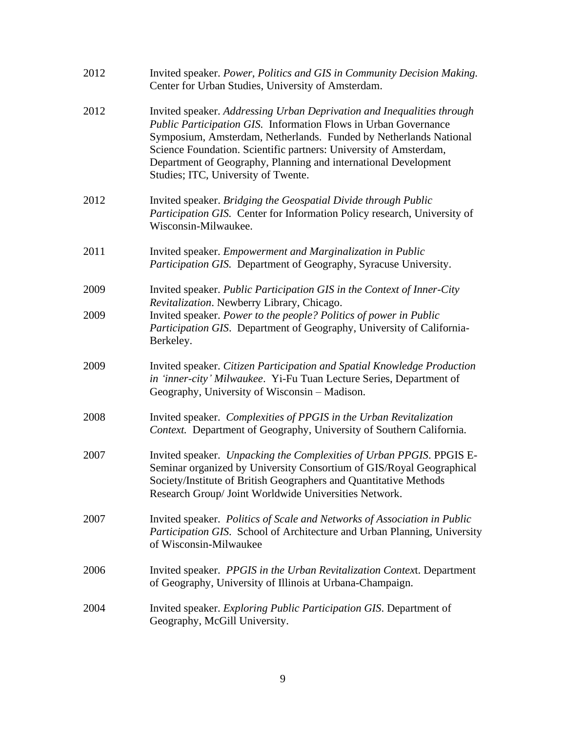| 2012 | Invited speaker. Power, Politics and GIS in Community Decision Making.<br>Center for Urban Studies, University of Amsterdam.                                                                                                                                                                                                                                                                         |
|------|------------------------------------------------------------------------------------------------------------------------------------------------------------------------------------------------------------------------------------------------------------------------------------------------------------------------------------------------------------------------------------------------------|
| 2012 | Invited speaker. Addressing Urban Deprivation and Inequalities through<br><b>Public Participation GIS. Information Flows in Urban Governance</b><br>Symposium, Amsterdam, Netherlands. Funded by Netherlands National<br>Science Foundation. Scientific partners: University of Amsterdam,<br>Department of Geography, Planning and international Development<br>Studies; ITC, University of Twente. |
| 2012 | Invited speaker. Bridging the Geospatial Divide through Public<br>Participation GIS. Center for Information Policy research, University of<br>Wisconsin-Milwaukee.                                                                                                                                                                                                                                   |
| 2011 | Invited speaker. Empowerment and Marginalization in Public<br>Participation GIS. Department of Geography, Syracuse University.                                                                                                                                                                                                                                                                       |
| 2009 | Invited speaker. Public Participation GIS in the Context of Inner-City<br>Revitalization. Newberry Library, Chicago.                                                                                                                                                                                                                                                                                 |
| 2009 | Invited speaker. Power to the people? Politics of power in Public<br>Participation GIS. Department of Geography, University of California-<br>Berkeley.                                                                                                                                                                                                                                              |
| 2009 | Invited speaker. Citizen Participation and Spatial Knowledge Production<br>in 'inner-city' Milwaukee. Yi-Fu Tuan Lecture Series, Department of<br>Geography, University of Wisconsin - Madison.                                                                                                                                                                                                      |
| 2008 | Invited speaker. Complexities of PPGIS in the Urban Revitalization<br>Context. Department of Geography, University of Southern California.                                                                                                                                                                                                                                                           |
| 2007 | Invited speaker. Unpacking the Complexities of Urban PPGIS. PPGIS E-<br>Seminar organized by University Consortium of GIS/Royal Geographical<br>Society/Institute of British Geographers and Quantitative Methods<br>Research Group/ Joint Worldwide Universities Network.                                                                                                                           |
| 2007 | Invited speaker. Politics of Scale and Networks of Association in Public<br>Participation GIS. School of Architecture and Urban Planning, University<br>of Wisconsin-Milwaukee                                                                                                                                                                                                                       |
| 2006 | Invited speaker. PPGIS in the Urban Revitalization Context. Department<br>of Geography, University of Illinois at Urbana-Champaign.                                                                                                                                                                                                                                                                  |
| 2004 | Invited speaker. <i>Exploring Public Participation GIS</i> . Department of<br>Geography, McGill University.                                                                                                                                                                                                                                                                                          |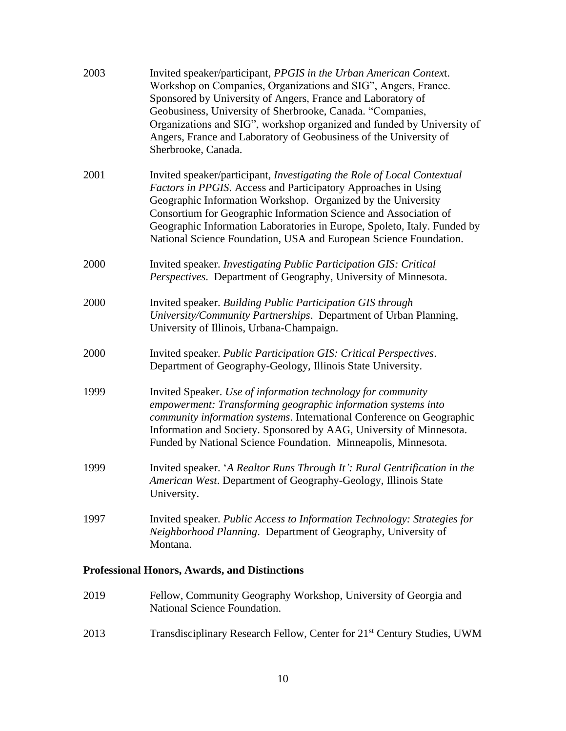| 2003 | Invited speaker/participant, PPGIS in the Urban American Context.<br>Workshop on Companies, Organizations and SIG", Angers, France.<br>Sponsored by University of Angers, France and Laboratory of<br>Geobusiness, University of Sherbrooke, Canada. "Companies,<br>Organizations and SIG", workshop organized and funded by University of<br>Angers, France and Laboratory of Geobusiness of the University of<br>Sherbrooke, Canada. |
|------|----------------------------------------------------------------------------------------------------------------------------------------------------------------------------------------------------------------------------------------------------------------------------------------------------------------------------------------------------------------------------------------------------------------------------------------|
| 2001 | Invited speaker/participant, Investigating the Role of Local Contextual<br>Factors in PPGIS. Access and Participatory Approaches in Using<br>Geographic Information Workshop. Organized by the University<br>Consortium for Geographic Information Science and Association of<br>Geographic Information Laboratories in Europe, Spoleto, Italy. Funded by<br>National Science Foundation, USA and European Science Foundation.         |
| 2000 | Invited speaker. Investigating Public Participation GIS: Critical<br>Perspectives. Department of Geography, University of Minnesota.                                                                                                                                                                                                                                                                                                   |
| 2000 | Invited speaker. Building Public Participation GIS through<br>University/Community Partnerships. Department of Urban Planning,<br>University of Illinois, Urbana-Champaign.                                                                                                                                                                                                                                                            |
| 2000 | Invited speaker. Public Participation GIS: Critical Perspectives.<br>Department of Geography-Geology, Illinois State University.                                                                                                                                                                                                                                                                                                       |
| 1999 | Invited Speaker. Use of information technology for community<br>empowerment: Transforming geographic information systems into<br>community information systems. International Conference on Geographic<br>Information and Society. Sponsored by AAG, University of Minnesota.<br>Funded by National Science Foundation. Minneapolis, Minnesota.                                                                                        |
| 1999 | Invited speaker. 'A Realtor Runs Through It': Rural Gentrification in the<br>American West. Department of Geography-Geology, Illinois State<br>University.                                                                                                                                                                                                                                                                             |
| 1997 | Invited speaker. Public Access to Information Technology: Strategies for<br>Neighborhood Planning. Department of Geography, University of<br>Montana.                                                                                                                                                                                                                                                                                  |
|      |                                                                                                                                                                                                                                                                                                                                                                                                                                        |

## **Professional Honors, Awards, and Distinctions**

| 2019 | Fellow, Community Geography Workshop, University of Georgia and |
|------|-----------------------------------------------------------------|
|      | National Science Foundation.                                    |

2013 Transdisciplinary Research Fellow, Center for 21<sup>st</sup> Century Studies, UWM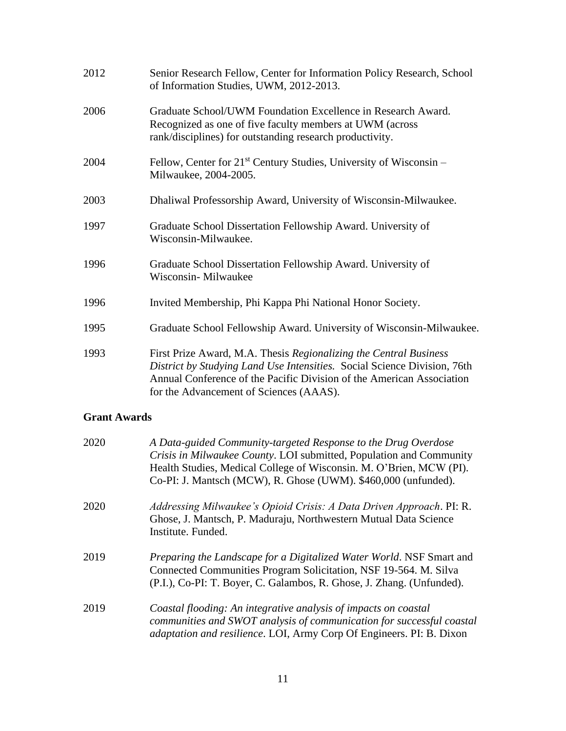| 2012 | Senior Research Fellow, Center for Information Policy Research, School<br>of Information Studies, UWM, 2012-2013.                                                                                                                                                 |
|------|-------------------------------------------------------------------------------------------------------------------------------------------------------------------------------------------------------------------------------------------------------------------|
| 2006 | Graduate School/UWM Foundation Excellence in Research Award.<br>Recognized as one of five faculty members at UWM (across<br>rank/disciplines) for outstanding research productivity.                                                                              |
| 2004 | Fellow, Center for $21st$ Century Studies, University of Wisconsin –<br>Milwaukee, 2004-2005.                                                                                                                                                                     |
| 2003 | Dhaliwal Professorship Award, University of Wisconsin-Milwaukee.                                                                                                                                                                                                  |
| 1997 | Graduate School Dissertation Fellowship Award. University of<br>Wisconsin-Milwaukee.                                                                                                                                                                              |
| 1996 | Graduate School Dissertation Fellowship Award. University of<br>Wisconsin- Milwaukee                                                                                                                                                                              |
| 1996 | Invited Membership, Phi Kappa Phi National Honor Society.                                                                                                                                                                                                         |
| 1995 | Graduate School Fellowship Award. University of Wisconsin-Milwaukee.                                                                                                                                                                                              |
| 1993 | First Prize Award, M.A. Thesis Regionalizing the Central Business<br>District by Studying Land Use Intensities. Social Science Division, 76th<br>Annual Conference of the Pacific Division of the American Association<br>for the Advancement of Sciences (AAAS). |

### **Grant Awards**

| 2020 | A Data-guided Community-targeted Response to the Drug Overdose<br>Crisis in Milwaukee County. LOI submitted, Population and Community<br>Health Studies, Medical College of Wisconsin. M. O'Brien, MCW (PI).<br>Co-PI: J. Mantsch (MCW), R. Ghose (UWM). \$460,000 (unfunded). |
|------|--------------------------------------------------------------------------------------------------------------------------------------------------------------------------------------------------------------------------------------------------------------------------------|
| 2020 | Addressing Milwaukee's Opioid Crisis: A Data Driven Approach. PI: R.<br>Ghose, J. Mantsch, P. Maduraju, Northwestern Mutual Data Science<br>Institute. Funded.                                                                                                                 |
| 2019 | Preparing the Landscape for a Digitalized Water World. NSF Smart and<br>Connected Communities Program Solicitation, NSF 19-564. M. Silva<br>(P.I.), Co-PI: T. Boyer, C. Galambos, R. Ghose, J. Zhang. (Unfunded).                                                              |
| 2019 | Coastal flooding: An integrative analysis of impacts on coastal<br>communities and SWOT analysis of communication for successful coastal<br><i>adaptation and resilience.</i> LOI, Army Corp Of Engineers. PI: B. Dixon                                                        |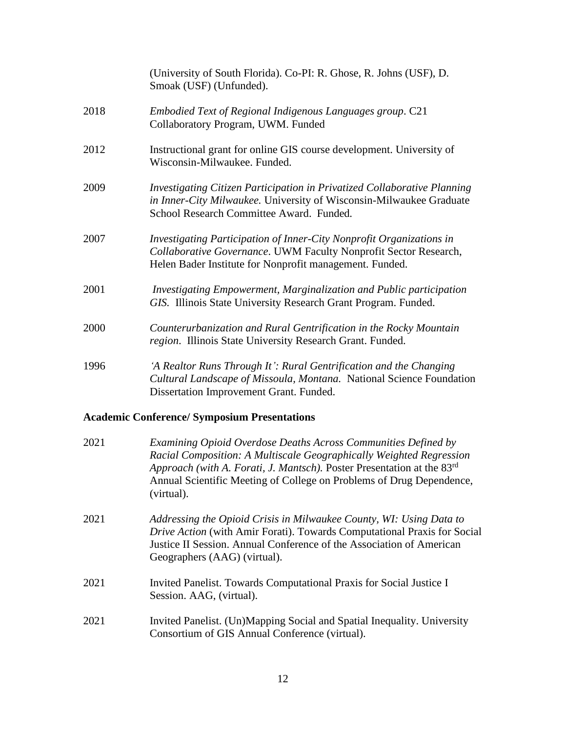|      | (University of South Florida). Co-PI: R. Ghose, R. Johns (USF), D.<br>Smoak (USF) (Unfunded).                                                                                                       |
|------|-----------------------------------------------------------------------------------------------------------------------------------------------------------------------------------------------------|
| 2018 | Embodied Text of Regional Indigenous Languages group. C21<br>Collaboratory Program, UWM. Funded                                                                                                     |
| 2012 | Instructional grant for online GIS course development. University of<br>Wisconsin-Milwaukee. Funded.                                                                                                |
| 2009 | Investigating Citizen Participation in Privatized Collaborative Planning<br>in Inner-City Milwaukee. University of Wisconsin-Milwaukee Graduate<br>School Research Committee Award. Funded.         |
| 2007 | Investigating Participation of Inner-City Nonprofit Organizations in<br>Collaborative Governance. UWM Faculty Nonprofit Sector Research,<br>Helen Bader Institute for Nonprofit management. Funded. |
| 2001 | Investigating Empowerment, Marginalization and Public participation<br>GIS. Illinois State University Research Grant Program. Funded.                                                               |
| 2000 | Counterurbanization and Rural Gentrification in the Rocky Mountain<br>region. Illinois State University Research Grant. Funded.                                                                     |
| 1996 | 'A Realtor Runs Through It': Rural Gentrification and the Changing<br>Cultural Landscape of Missoula, Montana. National Science Foundation<br>Dissertation Improvement Grant. Funded.               |

# **Academic Conference/ Symposium Presentations**

| 2021 | Examining Opioid Overdose Deaths Across Communities Defined by<br>Racial Composition: A Multiscale Geographically Weighted Regression<br>Approach (with A. Forati, J. Mantsch). Poster Presentation at the 83rd<br>Annual Scientific Meeting of College on Problems of Drug Dependence,<br>(virtual). |
|------|-------------------------------------------------------------------------------------------------------------------------------------------------------------------------------------------------------------------------------------------------------------------------------------------------------|
| 2021 | Addressing the Opioid Crisis in Milwaukee County, WI: Using Data to<br>Drive Action (with Amir Forati). Towards Computational Praxis for Social<br>Justice II Session. Annual Conference of the Association of American<br>Geographers (AAG) (virtual).                                               |
| 2021 | Invited Panelist. Towards Computational Praxis for Social Justice I<br>Session. AAG, (virtual).                                                                                                                                                                                                       |
| 2021 | Invited Panelist. (Un)Mapping Social and Spatial Inequality. University<br>Consortium of GIS Annual Conference (virtual).                                                                                                                                                                             |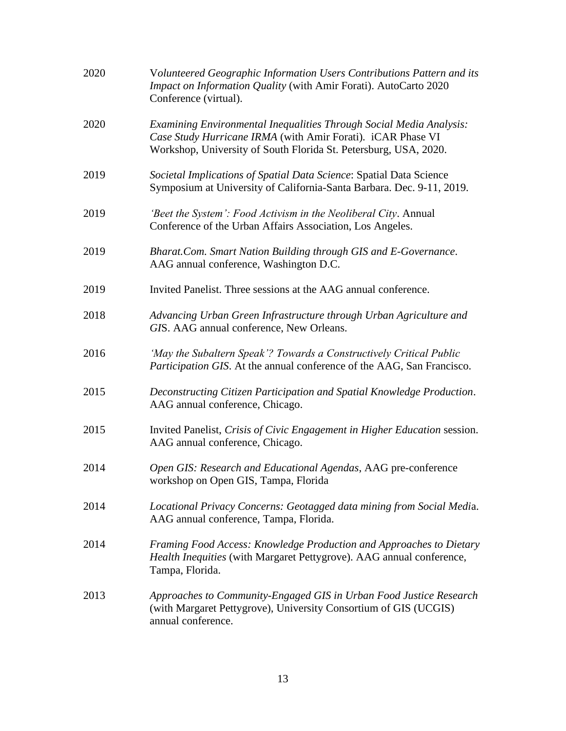| 2020 | Volunteered Geographic Information Users Contributions Pattern and its<br>Impact on Information Quality (with Amir Forati). AutoCarto 2020<br>Conference (virtual).                                    |
|------|--------------------------------------------------------------------------------------------------------------------------------------------------------------------------------------------------------|
| 2020 | Examining Environmental Inequalities Through Social Media Analysis:<br>Case Study Hurricane IRMA (with Amir Forati). iCAR Phase VI<br>Workshop, University of South Florida St. Petersburg, USA, 2020. |
| 2019 | Societal Implications of Spatial Data Science: Spatial Data Science<br>Symposium at University of California-Santa Barbara. Dec. 9-11, 2019.                                                           |
| 2019 | 'Beet the System': Food Activism in the Neoliberal City. Annual<br>Conference of the Urban Affairs Association, Los Angeles.                                                                           |
| 2019 | Bharat.Com. Smart Nation Building through GIS and E-Governance.<br>AAG annual conference, Washington D.C.                                                                                              |
| 2019 | Invited Panelist. Three sessions at the AAG annual conference.                                                                                                                                         |
| 2018 | Advancing Urban Green Infrastructure through Urban Agriculture and<br>GIS. AAG annual conference, New Orleans.                                                                                         |
| 2016 | 'May the Subaltern Speak'? Towards a Constructively Critical Public<br>Participation GIS. At the annual conference of the AAG, San Francisco.                                                          |
| 2015 | Deconstructing Citizen Participation and Spatial Knowledge Production.<br>AAG annual conference, Chicago.                                                                                              |
| 2015 | Invited Panelist, Crisis of Civic Engagement in Higher Education session.<br>AAG annual conference, Chicago.                                                                                           |
| 2014 | Open GIS: Research and Educational Agendas, AAG pre-conference<br>workshop on Open GIS, Tampa, Florida                                                                                                 |
| 2014 | Locational Privacy Concerns: Geotagged data mining from Social Media.<br>AAG annual conference, Tampa, Florida.                                                                                        |
| 2014 | Framing Food Access: Knowledge Production and Approaches to Dietary<br>Health Inequities (with Margaret Pettygrove). AAG annual conference,<br>Tampa, Florida.                                         |
| 2013 | Approaches to Community-Engaged GIS in Urban Food Justice Research<br>(with Margaret Pettygrove), University Consortium of GIS (UCGIS)<br>annual conference.                                           |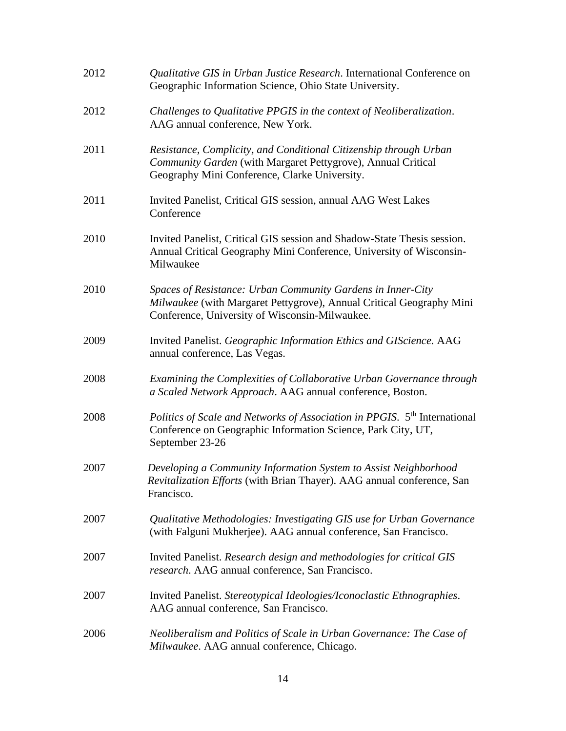| 2012 | Qualitative GIS in Urban Justice Research. International Conference on<br>Geographic Information Science, Ohio State University.                                                      |
|------|---------------------------------------------------------------------------------------------------------------------------------------------------------------------------------------|
| 2012 | Challenges to Qualitative PPGIS in the context of Neoliberalization.<br>AAG annual conference, New York.                                                                              |
| 2011 | Resistance, Complicity, and Conditional Citizenship through Urban<br>Community Garden (with Margaret Pettygrove), Annual Critical<br>Geography Mini Conference, Clarke University.    |
| 2011 | Invited Panelist, Critical GIS session, annual AAG West Lakes<br>Conference                                                                                                           |
| 2010 | Invited Panelist, Critical GIS session and Shadow-State Thesis session.<br>Annual Critical Geography Mini Conference, University of Wisconsin-<br>Milwaukee                           |
| 2010 | Spaces of Resistance: Urban Community Gardens in Inner-City<br>Milwaukee (with Margaret Pettygrove), Annual Critical Geography Mini<br>Conference, University of Wisconsin-Milwaukee. |
| 2009 | Invited Panelist. Geographic Information Ethics and GIScience. AAG<br>annual conference, Las Vegas.                                                                                   |
| 2008 | Examining the Complexities of Collaborative Urban Governance through<br>a Scaled Network Approach. AAG annual conference, Boston.                                                     |
| 2008 | Politics of Scale and Networks of Association in PPGIS. 5 <sup>th</sup> International<br>Conference on Geographic Information Science, Park City, UT,<br>September 23-26              |
| 2007 | Developing a Community Information System to Assist Neighborhood<br>Revitalization Efforts (with Brian Thayer). AAG annual conference, San<br>Francisco.                              |
| 2007 | Qualitative Methodologies: Investigating GIS use for Urban Governance<br>(with Falguni Mukherjee). AAG annual conference, San Francisco.                                              |
| 2007 | Invited Panelist. Research design and methodologies for critical GIS<br>research. AAG annual conference, San Francisco.                                                               |
| 2007 | Invited Panelist. Stereotypical Ideologies/Iconoclastic Ethnographies.<br>AAG annual conference, San Francisco.                                                                       |
| 2006 | Neoliberalism and Politics of Scale in Urban Governance: The Case of<br>Milwaukee. AAG annual conference, Chicago.                                                                    |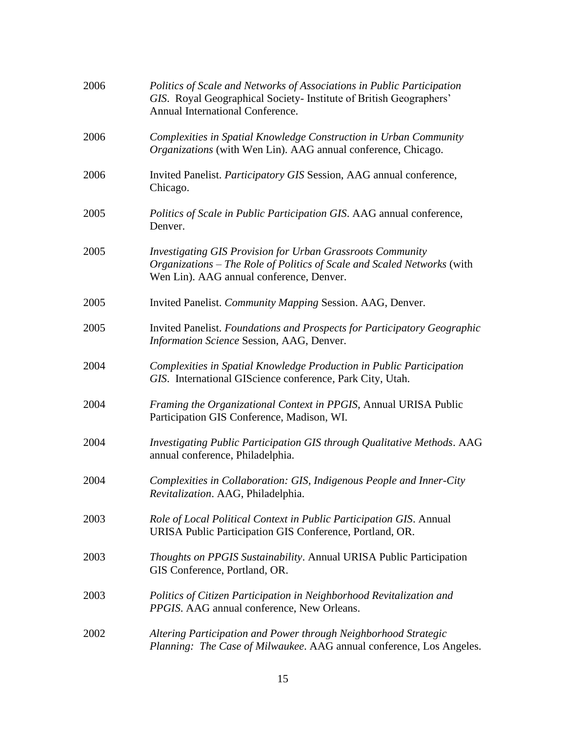| 2006 | Politics of Scale and Networks of Associations in Public Participation<br>GIS. Royal Geographical Society- Institute of British Geographers'<br>Annual International Conference.         |
|------|------------------------------------------------------------------------------------------------------------------------------------------------------------------------------------------|
| 2006 | Complexities in Spatial Knowledge Construction in Urban Community<br>Organizations (with Wen Lin). AAG annual conference, Chicago.                                                       |
| 2006 | Invited Panelist. Participatory GIS Session, AAG annual conference,<br>Chicago.                                                                                                          |
| 2005 | Politics of Scale in Public Participation GIS. AAG annual conference,<br>Denver.                                                                                                         |
| 2005 | <b>Investigating GIS Provision for Urban Grassroots Community</b><br>Organizations – The Role of Politics of Scale and Scaled Networks (with<br>Wen Lin). AAG annual conference, Denver. |
| 2005 | Invited Panelist. Community Mapping Session. AAG, Denver.                                                                                                                                |
| 2005 | Invited Panelist. Foundations and Prospects for Participatory Geographic<br>Information Science Session, AAG, Denver.                                                                    |
| 2004 | Complexities in Spatial Knowledge Production in Public Participation<br>GIS. International GIScience conference, Park City, Utah.                                                        |
| 2004 | Framing the Organizational Context in PPGIS, Annual URISA Public<br>Participation GIS Conference, Madison, WI.                                                                           |
| 2004 | Investigating Public Participation GIS through Qualitative Methods. AAG<br>annual conference, Philadelphia.                                                                              |
| 2004 | Complexities in Collaboration: GIS, Indigenous People and Inner-City<br>Revitalization. AAG, Philadelphia.                                                                               |
| 2003 | Role of Local Political Context in Public Participation GIS. Annual<br>URISA Public Participation GIS Conference, Portland, OR.                                                          |
| 2003 | Thoughts on PPGIS Sustainability. Annual URISA Public Participation<br>GIS Conference, Portland, OR.                                                                                     |
| 2003 | Politics of Citizen Participation in Neighborhood Revitalization and<br>PPGIS. AAG annual conference, New Orleans.                                                                       |
| 2002 | Altering Participation and Power through Neighborhood Strategic<br>Planning: The Case of Milwaukee. AAG annual conference, Los Angeles.                                                  |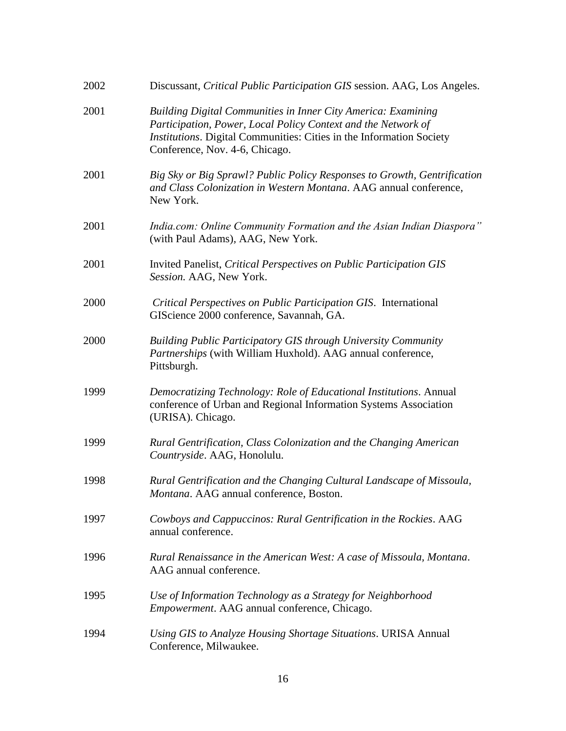| 2002 | Discussant, Critical Public Participation GIS session. AAG, Los Angeles.                                                                                                                                                                        |
|------|-------------------------------------------------------------------------------------------------------------------------------------------------------------------------------------------------------------------------------------------------|
| 2001 | <b>Building Digital Communities in Inner City America: Examining</b><br>Participation, Power, Local Policy Context and the Network of<br>Institutions. Digital Communities: Cities in the Information Society<br>Conference, Nov. 4-6, Chicago. |
| 2001 | Big Sky or Big Sprawl? Public Policy Responses to Growth, Gentrification<br>and Class Colonization in Western Montana. AAG annual conference,<br>New York.                                                                                      |
| 2001 | India.com: Online Community Formation and the Asian Indian Diaspora"<br>(with Paul Adams), AAG, New York.                                                                                                                                       |
| 2001 | Invited Panelist, Critical Perspectives on Public Participation GIS<br>Session. AAG, New York.                                                                                                                                                  |
| 2000 | Critical Perspectives on Public Participation GIS. International<br>GIScience 2000 conference, Savannah, GA.                                                                                                                                    |
| 2000 | <b>Building Public Participatory GIS through University Community</b><br>Partnerships (with William Huxhold). AAG annual conference,<br>Pittsburgh.                                                                                             |
| 1999 | Democratizing Technology: Role of Educational Institutions. Annual<br>conference of Urban and Regional Information Systems Association<br>(URISA). Chicago.                                                                                     |
| 1999 | Rural Gentrification, Class Colonization and the Changing American<br>Countryside. AAG, Honolulu.                                                                                                                                               |
| 1998 | Rural Gentrification and the Changing Cultural Landscape of Missoula,<br>Montana. AAG annual conference, Boston                                                                                                                                 |
| 1997 | Cowboys and Cappuccinos: Rural Gentrification in the Rockies. AAG<br>annual conference.                                                                                                                                                         |
| 1996 | Rural Renaissance in the American West: A case of Missoula, Montana.<br>AAG annual conference.                                                                                                                                                  |
| 1995 | Use of Information Technology as a Strategy for Neighborhood<br>Empowerment. AAG annual conference, Chicago.                                                                                                                                    |
| 1994 | Using GIS to Analyze Housing Shortage Situations. URISA Annual<br>Conference, Milwaukee.                                                                                                                                                        |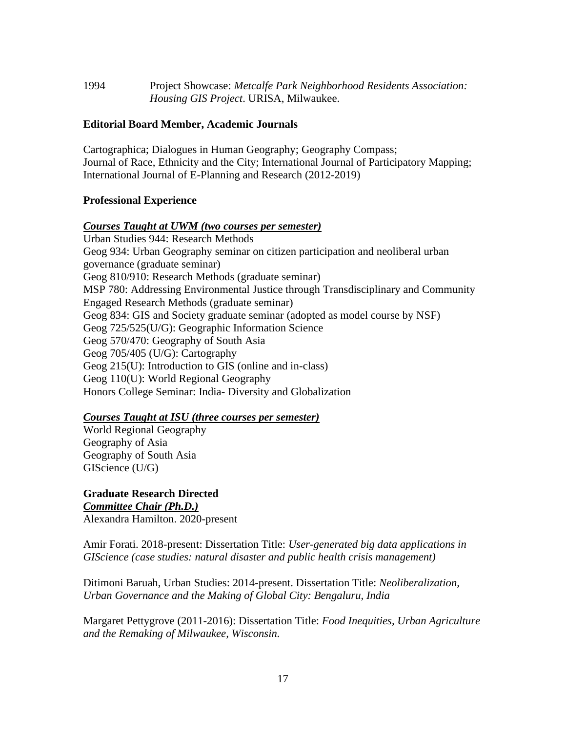| 1994 | Project Showcase: Metcalfe Park Neighborhood Residents Association: |
|------|---------------------------------------------------------------------|
|      | <i>Housing GIS Project.</i> URISA, Milwaukee.                       |

#### **Editorial Board Member, Academic Journals**

Cartographica; Dialogues in Human Geography; Geography Compass; Journal of Race, Ethnicity and the City; International Journal of Participatory Mapping; International Journal of E-Planning and Research (2012-2019)

#### **Professional Experience**

*Courses Taught at UWM (two courses per semester)* Urban Studies 944: Research Methods Geog 934: Urban Geography seminar on citizen participation and neoliberal urban governance (graduate seminar) Geog 810/910: Research Methods (graduate seminar) MSP 780: Addressing Environmental Justice through Transdisciplinary and Community Engaged Research Methods (graduate seminar) Geog 834: GIS and Society graduate seminar (adopted as model course by NSF) Geog 725/525(U/G): Geographic Information Science Geog 570/470: Geography of South Asia Geog 705/405 (U/G): Cartography Geog 215(U): Introduction to GIS (online and in-class) Geog 110(U): World Regional Geography Honors College Seminar: India- Diversity and Globalization

#### *Courses Taught at ISU (three courses per semester)*

World Regional Geography Geography of Asia Geography of South Asia GIScience (U/G)

**Graduate Research Directed** *Committee Chair (Ph.D.)* Alexandra Hamilton. 2020-present

Amir Forati. 2018-present: Dissertation Title: *User-generated big data applications in GIScience (case studies: natural disaster and public health crisis management)*

Ditimoni Baruah, Urban Studies: 2014-present. Dissertation Title: *Neoliberalization, Urban Governance and the Making of Global City: Bengaluru, India*

Margaret Pettygrove (2011-2016): Dissertation Title: *Food Inequities, Urban Agriculture and the Remaking of Milwaukee, Wisconsin.*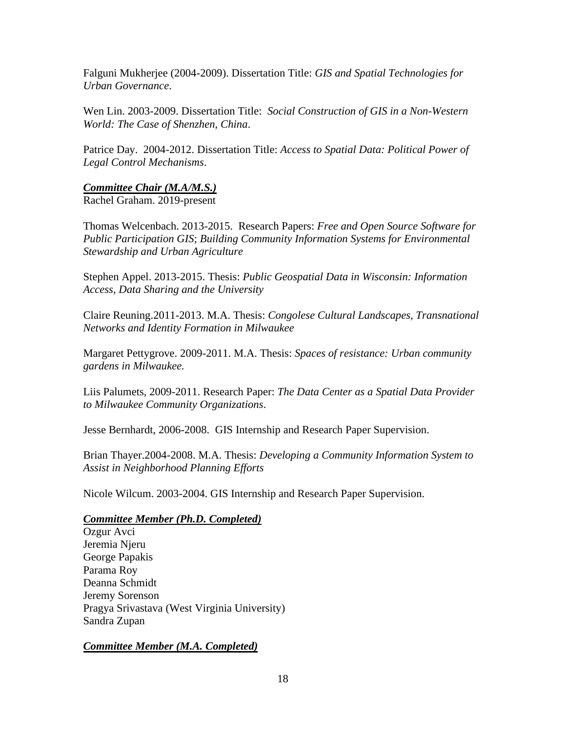Falguni Mukherjee (2004-2009). Dissertation Title: *GIS and Spatial Technologies for Urban Governance*.

Wen Lin. 2003-2009. Dissertation Title: *Social Construction of GIS in a Non-Western World: The Case of Shenzhen, China*.

Patrice Day. 2004-2012. Dissertation Title: *Access to Spatial Data: Political Power of Legal Control Mechanisms*.

#### *Committee Chair (M.A/M.S.)*

Rachel Graham. 2019-present

Thomas Welcenbach. 2013-2015. Research Papers: *Free and Open Source Software for Public Participation GIS*; *Building Community Information Systems for Environmental Stewardship and Urban Agriculture*

Stephen Appel. 2013-2015. Thesis: *Public Geospatial Data in Wisconsin: Information Access, Data Sharing and the University*

Claire Reuning.2011-2013. M.A. Thesis: *Congolese Cultural Landscapes, Transnational Networks and Identity Formation in Milwaukee*

Margaret Pettygrove. 2009-2011. M.A. Thesis: *Spaces of resistance: Urban community gardens in Milwaukee.*

Liis Palumets, 2009-2011. Research Paper: *The Data Center as a Spatial Data Provider to Milwaukee Community Organizations*.

Jesse Bernhardt, 2006-2008. GIS Internship and Research Paper Supervision.

Brian Thayer.2004-2008. M.A. Thesis: *Developing a Community Information System to Assist in Neighborhood Planning Efforts*

Nicole Wilcum. 2003-2004. GIS Internship and Research Paper Supervision.

#### *Committee Member (Ph.D. Completed)*

Ozgur Avci Jeremia Njeru George Papakis Parama Roy Deanna Schmidt Jeremy Sorenson Pragya Srivastava (West Virginia University) Sandra Zupan

#### *Committee Member (M.A. Completed)*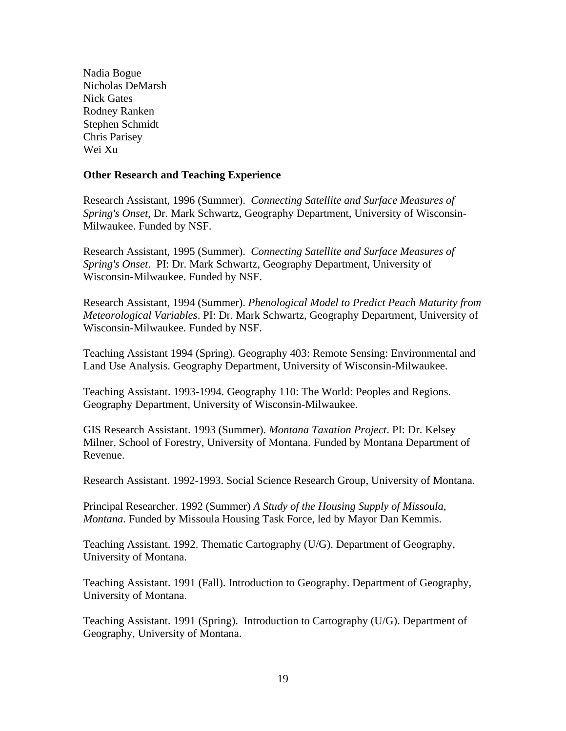Nadia Bogue Nicholas DeMarsh Nick Gates Rodney Ranken Stephen Schmidt Chris Parisey Wei Xu

#### **Other Research and Teaching Experience**

Research Assistant, 1996 (Summer). *Connecting Satellite and Surface Measures of Spring's Onset*, Dr. Mark Schwartz, Geography Department, University of Wisconsin-Milwaukee. Funded by NSF.

Research Assistant, 1995 (Summer). *Connecting Satellite and Surface Measures of Spring's Onset*. PI: Dr. Mark Schwartz, Geography Department, University of Wisconsin-Milwaukee. Funded by NSF.

Research Assistant, 1994 (Summer). *Phenological Model to Predict Peach Maturity from Meteorological Variables*. PI: Dr. Mark Schwartz, Geography Department, University of Wisconsin-Milwaukee. Funded by NSF.

Teaching Assistant 1994 (Spring). Geography 403: Remote Sensing: Environmental and Land Use Analysis. Geography Department, University of Wisconsin-Milwaukee.

Teaching Assistant. 1993-1994. Geography 110: The World: Peoples and Regions. Geography Department, University of Wisconsin-Milwaukee.

GIS Research Assistant. 1993 (Summer). *Montana Taxation Project*. PI: Dr. Kelsey Milner, School of Forestry, University of Montana. Funded by Montana Department of Revenue.

Research Assistant. 1992-1993. Social Science Research Group, University of Montana.

Principal Researcher. 1992 (Summer) *A Study of the Housing Supply of Missoula, Montana.* Funded by Missoula Housing Task Force, led by Mayor Dan Kemmis.

Teaching Assistant. 1992. Thematic Cartography (U/G). Department of Geography, University of Montana.

Teaching Assistant. 1991 (Fall). Introduction to Geography. Department of Geography, University of Montana.

Teaching Assistant. 1991 (Spring). Introduction to Cartography (U/G). Department of Geography, University of Montana.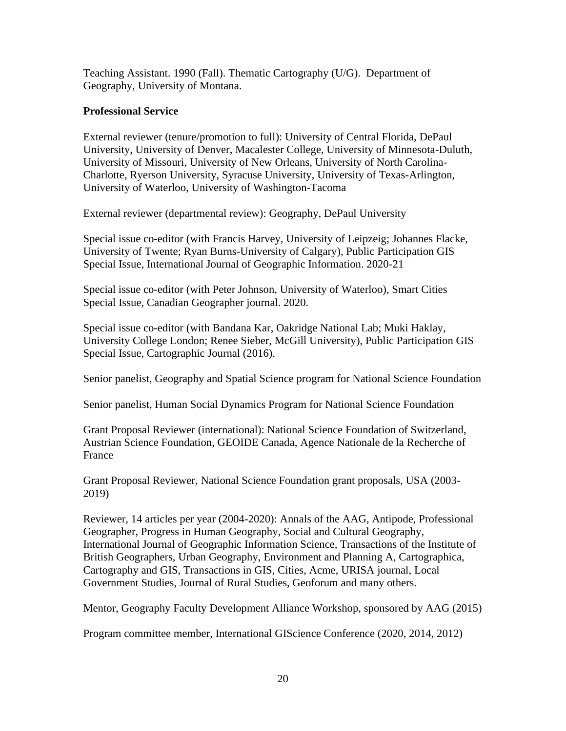Teaching Assistant. 1990 (Fall). Thematic Cartography (U/G). Department of Geography, University of Montana.

#### **Professional Service**

External reviewer (tenure/promotion to full): University of Central Florida, DePaul University, University of Denver, Macalester College, University of Minnesota-Duluth, University of Missouri, University of New Orleans, University of North Carolina-Charlotte, Ryerson University, Syracuse University, University of Texas-Arlington, University of Waterloo, University of Washington-Tacoma

External reviewer (departmental review): Geography, DePaul University

Special issue co-editor (with Francis Harvey, University of Leipzeig; Johannes Flacke, University of Twente; Ryan Burns-University of Calgary), Public Participation GIS Special Issue, International Journal of Geographic Information. 2020-21

Special issue co-editor (with Peter Johnson, University of Waterloo), Smart Cities Special Issue, Canadian Geographer journal. 2020.

Special issue co-editor (with Bandana Kar, Oakridge National Lab; Muki Haklay, University College London; Renee Sieber, McGill University), Public Participation GIS Special Issue, Cartographic Journal (2016).

Senior panelist, Geography and Spatial Science program for National Science Foundation

Senior panelist, Human Social Dynamics Program for National Science Foundation

Grant Proposal Reviewer (international): National Science Foundation of Switzerland, Austrian Science Foundation, GEOIDE Canada, Agence Nationale de la Recherche of France

Grant Proposal Reviewer, National Science Foundation grant proposals, USA (2003- 2019)

Reviewer, 14 articles per year (2004-2020): Annals of the AAG, Antipode, Professional Geographer, Progress in Human Geography, Social and Cultural Geography, International Journal of Geographic Information Science, Transactions of the Institute of British Geographers, Urban Geography, Environment and Planning A, Cartographica, Cartography and GIS, Transactions in GIS, Cities, Acme, URISA journal, Local Government Studies, Journal of Rural Studies, Geoforum and many others.

Mentor, Geography Faculty Development Alliance Workshop, sponsored by AAG (2015)

Program committee member, International GIScience Conference (2020, 2014, 2012)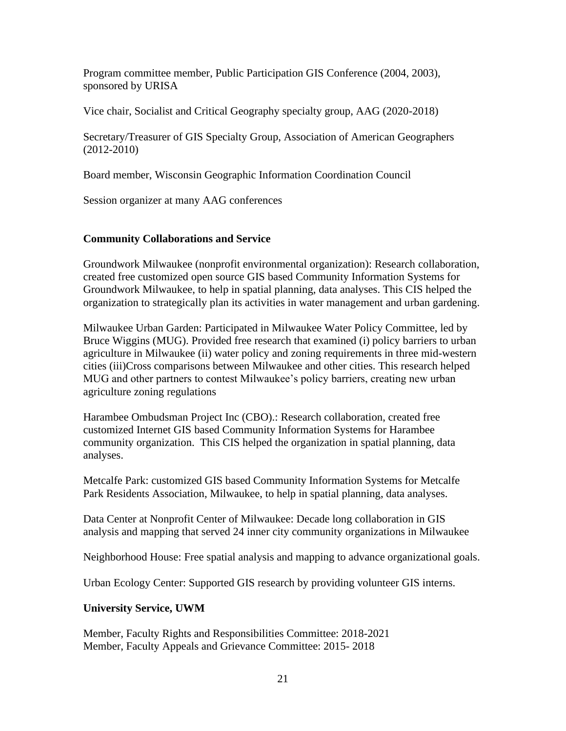Program committee member, Public Participation GIS Conference (2004, 2003), sponsored by URISA

Vice chair, Socialist and Critical Geography specialty group, AAG (2020-2018)

Secretary/Treasurer of GIS Specialty Group, Association of American Geographers (2012-2010)

Board member, Wisconsin Geographic Information Coordination Council

Session organizer at many AAG conferences

#### **Community Collaborations and Service**

Groundwork Milwaukee (nonprofit environmental organization): Research collaboration, created free customized open source GIS based Community Information Systems for Groundwork Milwaukee, to help in spatial planning, data analyses. This CIS helped the organization to strategically plan its activities in water management and urban gardening.

Milwaukee Urban Garden: Participated in Milwaukee Water Policy Committee, led by Bruce Wiggins (MUG). Provided free research that examined (i) policy barriers to urban agriculture in Milwaukee (ii) water policy and zoning requirements in three mid-western cities (iii)Cross comparisons between Milwaukee and other cities. This research helped MUG and other partners to contest Milwaukee's policy barriers, creating new urban agriculture zoning regulations

Harambee Ombudsman Project Inc (CBO).: Research collaboration, created free customized Internet GIS based Community Information Systems for Harambee community organization. This CIS helped the organization in spatial planning, data analyses.

Metcalfe Park: customized GIS based Community Information Systems for Metcalfe Park Residents Association, Milwaukee, to help in spatial planning, data analyses.

Data Center at Nonprofit Center of Milwaukee: Decade long collaboration in GIS analysis and mapping that served 24 inner city community organizations in Milwaukee

Neighborhood House: Free spatial analysis and mapping to advance organizational goals.

Urban Ecology Center: Supported GIS research by providing volunteer GIS interns.

#### **University Service, UWM**

Member, Faculty Rights and Responsibilities Committee: 2018-2021 Member, Faculty Appeals and Grievance Committee: 2015- 2018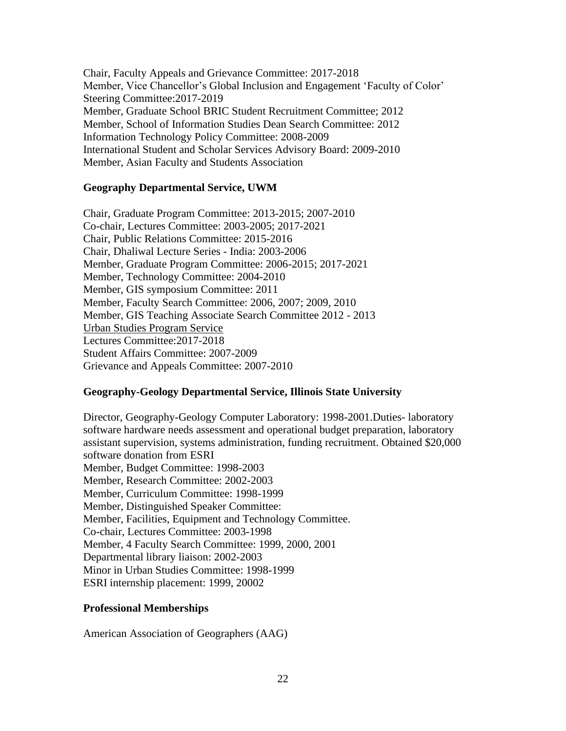Chair, Faculty Appeals and Grievance Committee: 2017-2018 Member, Vice Chancellor's Global Inclusion and Engagement 'Faculty of Color' Steering Committee:2017-2019 Member, Graduate School BRIC Student Recruitment Committee; 2012 Member, School of Information Studies Dean Search Committee: 2012 Information Technology Policy Committee: 2008-2009 International Student and Scholar Services Advisory Board: 2009-2010 Member, Asian Faculty and Students Association

#### **Geography Departmental Service, UWM**

Chair, Graduate Program Committee: 2013-2015; 2007-2010 Co-chair, Lectures Committee: 2003-2005; 2017-2021 Chair, Public Relations Committee: 2015-2016 Chair, Dhaliwal Lecture Series - India: 2003-2006 Member, Graduate Program Committee: 2006-2015; 2017-2021 Member, Technology Committee: 2004-2010 Member, GIS symposium Committee: 2011 Member, Faculty Search Committee: 2006, 2007; 2009, 2010 Member, GIS Teaching Associate Search Committee 2012 - 2013 Urban Studies Program Service Lectures Committee:2017-2018 Student Affairs Committee: 2007-2009 Grievance and Appeals Committee: 2007-2010

#### **Geography-Geology Departmental Service, Illinois State University**

Director, Geography-Geology Computer Laboratory: 1998-2001.Duties- laboratory software hardware needs assessment and operational budget preparation, laboratory assistant supervision, systems administration, funding recruitment. Obtained \$20,000 software donation from ESRI Member, Budget Committee: 1998-2003 Member, Research Committee: 2002-2003 Member, Curriculum Committee: 1998-1999 Member, Distinguished Speaker Committee: Member, Facilities, Equipment and Technology Committee. Co-chair, Lectures Committee: 2003-1998 Member, 4 Faculty Search Committee: 1999, 2000, 2001 Departmental library liaison: 2002-2003 Minor in Urban Studies Committee: 1998-1999 ESRI internship placement: 1999, 20002

#### **Professional Memberships**

American Association of Geographers (AAG)